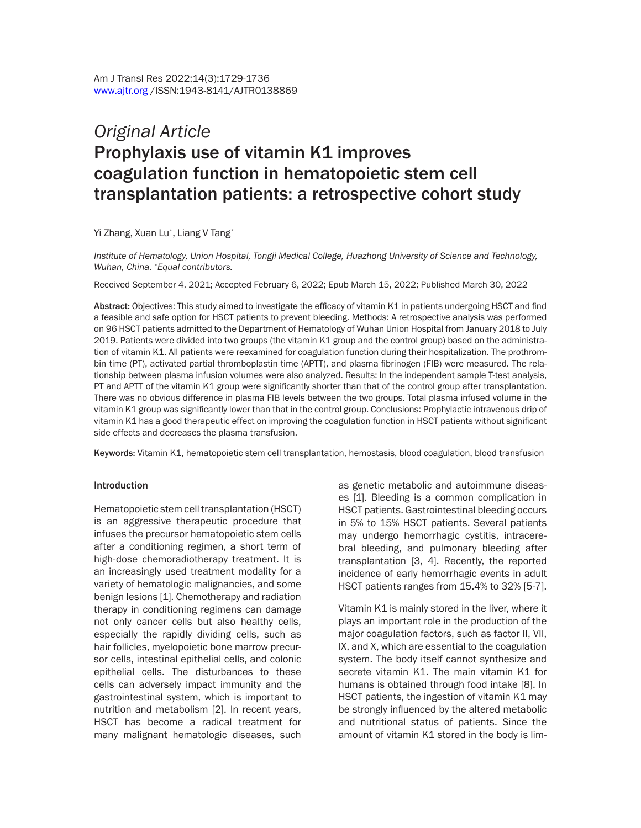# *Original Article*  Prophylaxis use of vitamin K1 improves coagulation function in hematopoietic stem cell transplantation patients: a retrospective cohort study

Yi Zhang, Xuan Lu\* , Liang V Tang\*

*Institute of Hematology, Union Hospital, Tongji Medical College, Huazhong University of Science and Technology, Wuhan, China. \*Equal contributors.*

Received September 4, 2021; Accepted February 6, 2022; Epub March 15, 2022; Published March 30, 2022

Abstract: Objectives: This study aimed to investigate the efficacy of vitamin K1 in patients undergoing HSCT and find a feasible and safe option for HSCT patients to prevent bleeding. Methods: A retrospective analysis was performed on 96 HSCT patients admitted to the Department of Hematology of Wuhan Union Hospital from January 2018 to July 2019. Patients were divided into two groups (the vitamin K1 group and the control group) based on the administration of vitamin K1. All patients were reexamined for coagulation function during their hospitalization. The prothrombin time (PT), activated partial thromboplastin time (APTT), and plasma fibrinogen (FIB) were measured. The relationship between plasma infusion volumes were also analyzed. Results: In the independent sample T-test analysis, PT and APTT of the vitamin K1 group were significantly shorter than that of the control group after transplantation. There was no obvious difference in plasma FIB levels between the two groups. Total plasma infused volume in the vitamin K1 group was significantly lower than that in the control group. Conclusions: Prophylactic intravenous drip of vitamin K1 has a good therapeutic effect on improving the coagulation function in HSCT patients without significant side effects and decreases the plasma transfusion.

Keywords: Vitamin K1, hematopoietic stem cell transplantation, hemostasis, blood coagulation, blood transfusion

#### Introduction

Hematopoietic stem cell transplantation (HSCT) is an aggressive therapeutic procedure that infuses the precursor hematopoietic stem cells after a conditioning regimen, a short term of high-dose chemoradiotherapy treatment. It is an increasingly used treatment modality for a variety of hematologic malignancies, and some benign lesions [1]. Chemotherapy and radiation therapy in conditioning regimens can damage not only cancer cells but also healthy cells, especially the rapidly dividing cells, such as hair follicles, myelopoietic bone marrow precursor cells, intestinal epithelial cells, and colonic epithelial cells. The disturbances to these cells can adversely impact immunity and the gastrointestinal system, which is important to nutrition and metabolism [2]. In recent years, HSCT has become a radical treatment for many malignant hematologic diseases, such as genetic metabolic and autoimmune diseases [1]. Bleeding is a common complication in HSCT patients. Gastrointestinal bleeding occurs in 5% to 15% HSCT patients. Several patients may undergo hemorrhagic cystitis, intracerebral bleeding, and pulmonary bleeding after transplantation [3, 4]. Recently, the reported incidence of early hemorrhagic events in adult HSCT patients ranges from 15.4% to 32% [5-7].

Vitamin K1 is mainly stored in the liver, where it plays an important role in the production of the major coagulation factors, such as factor II, VII, IX, and X, which are essential to the coagulation system. The body itself cannot synthesize and secrete vitamin K1. The main vitamin K1 for humans is obtained through food intake [8]. In HSCT patients, the ingestion of vitamin K1 may be strongly influenced by the altered metabolic and nutritional status of patients. Since the amount of vitamin K1 stored in the body is lim-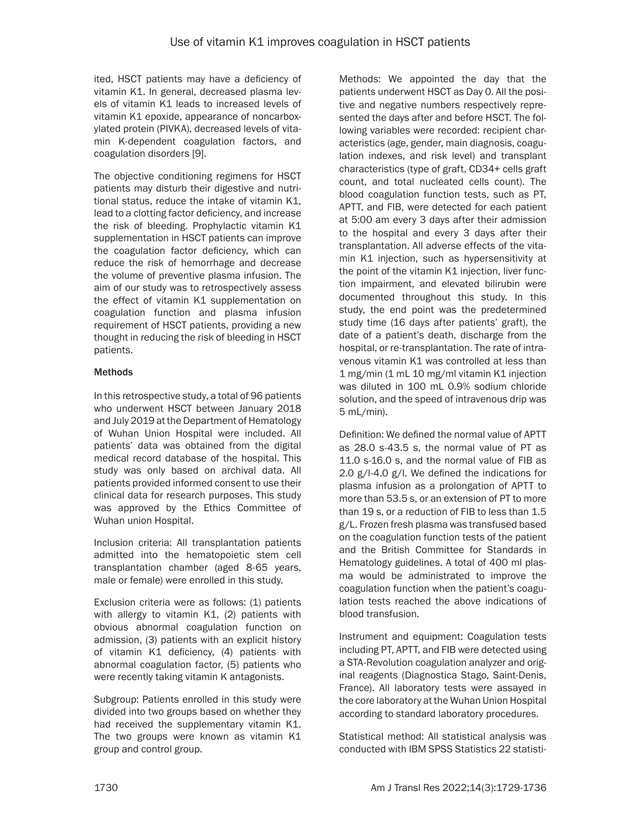ited, HSCT patients may have a deficiency of vitamin K1. In general, decreased plasma levels of vitamin K1 leads to increased levels of vitamin K1 epoxide, appearance of noncarboxylated protein (PIVKA), decreased levels of vitamin K-dependent coagulation factors, and coagulation disorders [9].

The objective conditioning regimens for HSCT patients may disturb their digestive and nutritional status, reduce the intake of vitamin K1, lead to a clotting factor deficiency, and increase the risk of bleeding. Prophylactic vitamin K1 supplementation in HSCT patients can improve the coagulation factor deficiency, which can reduce the risk of hemorrhage and decrease the volume of preventive plasma infusion. The aim of our study was to retrospectively assess the effect of vitamin K1 supplementation on coagulation function and plasma infusion requirement of HSCT patients, providing a new thought in reducing the risk of bleeding in HSCT patients.

## **Methods**

In this retrospective study, a total of 96 patients who underwent HSCT between January 2018 and July 2019 at the Department of Hematology of Wuhan Union Hospital were included. All patients' data was obtained from the digital medical record database of the hospital. This study was only based on archival data. All patients provided informed consent to use their clinical data for research purposes. This study was approved by the Ethics Committee of Wuhan union Hospital.

Inclusion criteria: All transplantation patients admitted into the hematopoietic stem cell transplantation chamber (aged 8-65 years, male or female) were enrolled in this study.

Exclusion criteria were as follows: (1) patients with allergy to vitamin K1, (2) patients with obvious abnormal coagulation function on admission, (3) patients with an explicit history of vitamin K1 deficiency, (4) patients with abnormal coagulation factor, (5) patients who were recently taking vitamin K antagonists.

Subgroup: Patients enrolled in this study were divided into two groups based on whether they had received the supplementary vitamin K1. The two groups were known as vitamin K1 group and control group.

Methods: We appointed the day that the patients underwent HSCT as Day 0. All the positive and negative numbers respectively represented the days after and before HSCT. The following variables were recorded: recipient characteristics (age, gender, main diagnosis, coagulation indexes, and risk level) and transplant characteristics (type of graft, CD34+ cells graft count, and total nucleated cells count). The blood coagulation function tests, such as PT, APTT, and FIB, were detected for each patient at 5:00 am every 3 days after their admission to the hospital and every 3 days after their transplantation. All adverse effects of the vitamin K1 injection, such as hypersensitivity at the point of the vitamin K1 injection, liver function impairment, and elevated bilirubin were documented throughout this study. In this study, the end point was the predetermined study time (16 days after patients' graft), the date of a patient's death, discharge from the hospital, or re-transplantation. The rate of intravenous vitamin K1 was controlled at less than 1 mg/min (1 mL 10 mg/ml vitamin K1 injection was diluted in 100 mL 0.9% sodium chloride solution, and the speed of intravenous drip was 5 mL/min).

Definition: We defined the normal value of APTT as 28.0 s-43.5 s, the normal value of PT as 11.0 s-16.0 s, and the normal value of FIB as 2.0 g/l-4.0 g/l. We defined the indications for plasma infusion as a prolongation of APTT to more than 53.5 s, or an extension of PT to more than 19 s, or a reduction of FIB to less than 1.5 g/L. Frozen fresh plasma was transfused based on the coagulation function tests of the patient and the British Committee for Standards in Hematology guidelines. A total of 400 ml plasma would be administrated to improve the coagulation function when the patient's coagulation tests reached the above indications of blood transfusion.

Instrument and equipment: Coagulation tests including PT, APTT, and FIB were detected using a STA-Revolution coagulation analyzer and original reagents (Diagnostica Stago, Saint-Denis, France). All laboratory tests were assayed in the core laboratory at the Wuhan Union Hospital according to standard laboratory procedures.

Statistical method: All statistical analysis was conducted with IBM SPSS Statistics 22 statisti-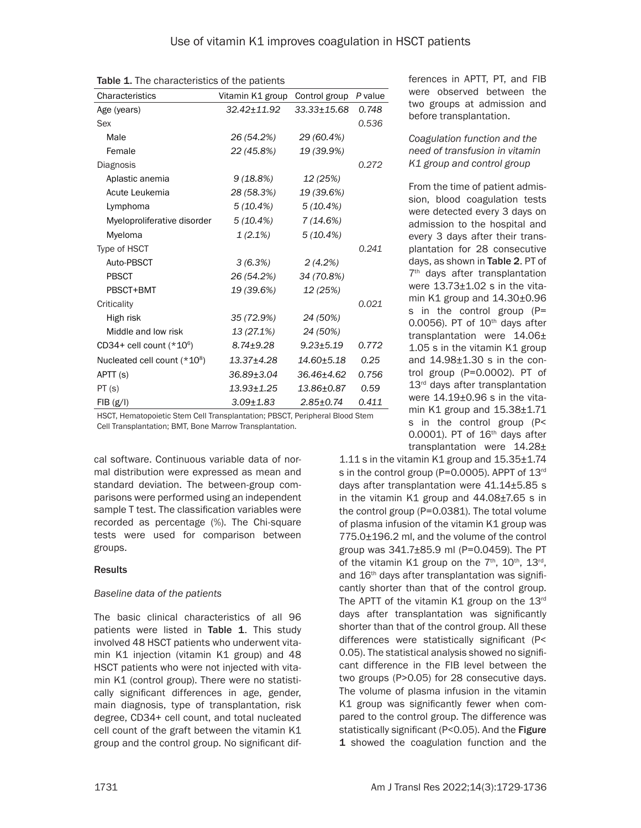| Characteristics                          | Vitamin K1 group Control group |                 | P value |  |  |
|------------------------------------------|--------------------------------|-----------------|---------|--|--|
| Age (years)                              | 32.42±11.92                    | $33.33 + 15.68$ | 0.748   |  |  |
| Sex                                      |                                |                 | 0.536   |  |  |
| Male                                     | 26 (54.2%)                     | 29 (60.4%)      |         |  |  |
| Female                                   | 22 (45.8%)                     | 19 (39.9%)      |         |  |  |
| Diagnosis                                |                                |                 | 0.272   |  |  |
| Aplastic anemia                          | 9(18.8%)                       | 12 (25%)        |         |  |  |
| Acute Leukemia                           | 28 (58.3%)                     | 19 (39.6%)      |         |  |  |
| Lymphoma                                 | 5 (10.4%)                      | 5(10.4%)        |         |  |  |
| Myeloproliferative disorder              | $5(10.4\%)$                    | 7(14.6%)        |         |  |  |
| Myeloma                                  | $1(2.1\%)$                     | 5(10.4%)        |         |  |  |
| Type of HSCT                             |                                |                 | 0.241   |  |  |
| Auto-PBSCT                               | 3(6.3%)                        | 2(4.2%)         |         |  |  |
| <b>PBSCT</b>                             | 26 (54.2%)                     | 34 (70.8%)      |         |  |  |
| PBSCT+BMT                                | 19 (39.6%)                     | 12 (25%)        |         |  |  |
| Criticality                              |                                |                 | 0.021   |  |  |
| High risk                                | 35 (72.9%)                     | 24 (50%)        |         |  |  |
| Middle and low risk                      | 13 (27.1%)                     | 24 (50%)        |         |  |  |
| CD34+ cell count $(*10)$ <sup>6</sup> )  | $8.74 \pm 9.28$                | $9.23 \pm 5.19$ | 0.772   |  |  |
| Nucleated cell count (*10 <sup>8</sup> ) | 13.37±4.28                     | 14.60±5.18      | 0.25    |  |  |
| APTT (s)                                 | 36.89±3.04                     | 36.46±4.62      | 0.756   |  |  |
| PT(s)                                    | 13.93±1.25                     | 13.86±0.87      | 0.59    |  |  |
| FIB(g/I)                                 | $3.09 \pm 1.83$                | $2.85 \pm 0.74$ | 0.411   |  |  |

Table 1. The characteristics of the patients

HSCT, Hematopoietic Stem Cell Transplantation; PBSCT, Peripheral Blood Stem Cell Transplantation; BMT, Bone Marrow Transplantation.

cal software. Continuous variable data of normal distribution were expressed as mean and standard deviation. The between-group comparisons were performed using an independent sample T test. The classification variables were recorded as percentage (%). The Chi-square tests were used for comparison between groups.

## Results

## *Baseline data of the patients*

The basic clinical characteristics of all 96 patients were listed in Table 1. This study involved 48 HSCT patients who underwent vitamin K1 injection (vitamin K1 group) and 48 HSCT patients who were not injected with vitamin K1 (control group). There were no statistically significant differences in age, gender, main diagnosis, type of transplantation, risk degree, CD34+ cell count, and total nucleated cell count of the graft between the vitamin K1 group and the control group. No significant differences in APTT, PT, and FIB were observed between the two groups at admission and before transplantation.

#### *Coagulation function and the need of transfusion in vitamin K1 group and control group*

From the time of patient admission, blood coagulation tests were detected every 3 days on admission to the hospital and every 3 days after their transplantation for 28 consecutive days, as shown in Table 2. PT of 7<sup>th</sup> days after transplantation were 13.73±1.02 s in the vitamin K1 group and 14.30±0.96 s in the control group (P= 0.0056). PT of  $10<sup>th</sup>$  days after transplantation were 14.06± 1.05 s in the vitamin K1 group and 14.98±1.30 s in the control group (P=0.0002). PT of 13<sup>rd</sup> days after transplantation were 14.19±0.96 s in the vitamin K1 group and 15.38±1.71 s in the control group (P< 0.0001). PT of  $16<sup>th</sup>$  days after transplantation were 14.28±

1.11 s in the vitamin K1 group and 15.35±1.74 s in the control group (P=0.0005). APPT of 13rd days after transplantation were 41.14±5.85 s in the vitamin K1 group and 44.08±7.65 s in the control group (P=0.0381). The total volume of plasma infusion of the vitamin K1 group was 775.0±196.2 ml, and the volume of the control group was 341.7±85.9 ml (P=0.0459). The PT of the vitamin K1 group on the  $7<sup>th</sup>$ ,  $10<sup>th</sup>$ ,  $13<sup>rd</sup>$ , and 16<sup>th</sup> days after transplantation was significantly shorter than that of the control group. The APTT of the vitamin K1 group on the 13<sup>rd</sup> days after transplantation was significantly shorter than that of the control group. All these differences were statistically significant (P< 0.05). The statistical analysis showed no significant difference in the FIB level between the two groups (P>0.05) for 28 consecutive days. The volume of plasma infusion in the vitamin K1 group was significantly fewer when compared to the control group. The difference was statistically significant (P<0.05). And the Figure 1 showed the coagulation function and the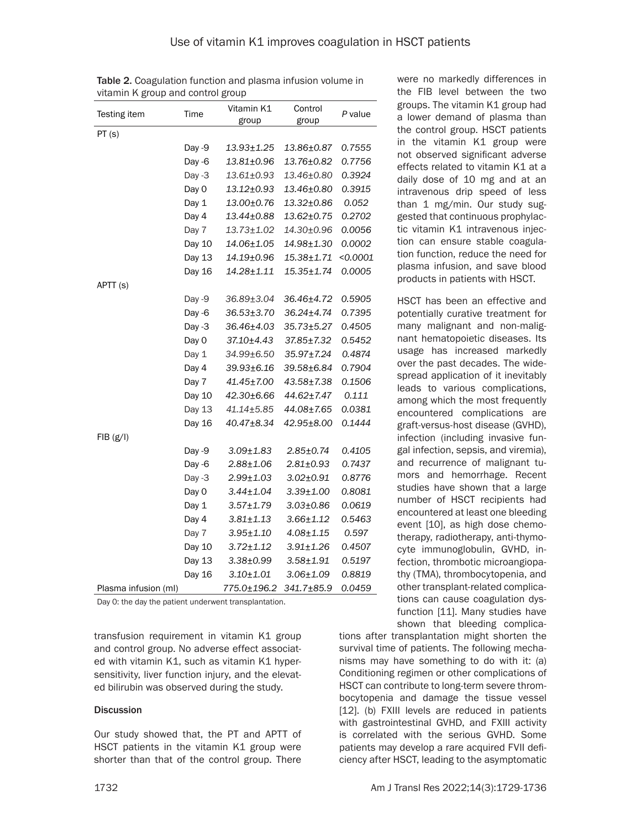| Testing item         | Time     | Vitamin K1<br>group | Control<br>group | P value  |
|----------------------|----------|---------------------|------------------|----------|
| PT(s)                |          |                     |                  |          |
|                      | Day -9   | 13.93±1.25          | 13.86±0.87       | 0.7555   |
|                      | Day $-6$ | 13.81±0.96          | 13.76±0.82       | 0.7756   |
|                      | Day $-3$ | 13.61±0.93          | 13.46±0.80       | 0.3924   |
|                      | Day 0    | 13.12±0.93          | 13.46±0.80       | 0.3915   |
|                      | Day 1    | 13.00±0.76          | 13.32±0.86       | 0.052    |
|                      | Day 4    | 13.44±0.88          | 13.62±0.75       | 0.2702   |
|                      | Day 7    | 13.73±1.02          | 14.30±0.96       | 0.0056   |
|                      | Day 10   | 14.06±1.05          | 14.98±1.30       | 0.0002   |
|                      | Day 13   | 14.19±0.96          | $15.38 + 1.71$   | < 0.0001 |
|                      | Day 16   | 14.28±1.11          | $15.35 \pm 1.74$ | 0.0005   |
| APTT (S)             |          |                     |                  |          |
|                      | Day -9   | 36.89±3.04          | 36.46±4.72       | 0.5905   |
|                      | Day -6   | 36.53±3.70          | 36.24±4.74       | 0.7395   |
|                      | Day -3   | 36.46±4.03          | 35.73±5.27       | 0.4505   |
|                      | Day 0    | 37.10±4.43          | 37.85±7.32       | 0.5452   |
|                      | Day 1    | 34.99±6.50          | 35.97±7.24       | 0.4874   |
|                      | Day 4    | 39.93±6.16          | 39.58±6.84       | 0.7904   |
|                      | Day 7    | 41.45±7.00          | 43.58±7.38       | 0.1506   |
|                      | Day 10   | 42.30±6.66          | 44.62±7.47       | 0.111    |
|                      | Day 13   | 41.14±5.85          | 44.08±7.65       | 0.0381   |
|                      | Day 16   | 40.47±8.34          | 42.95±8.00       | 0.1444   |
| FIB(g/I)             |          |                     |                  |          |
|                      | Day -9   | $3.09 \pm 1.83$     | $2.85 \pm 0.74$  | 0.4105   |
|                      | Day $-6$ | $2.88 + 1.06$       | $2.81 \pm 0.93$  | 0.7437   |
|                      | Day $-3$ | $2.99 + 1.03$       | $3.02 \pm 0.91$  | 0.8776   |
|                      | Day 0    | $3.44 \pm 1.04$     | $3.39 \pm 1.00$  | 0.8081   |
|                      | Day 1    | $3.57 + 1.79$       | $3.03 \pm 0.86$  | 0.0619   |
|                      | Day 4    | $3.81 \pm 1.13$     | $3.66 \pm 1.12$  | 0.5463   |
|                      | Day 7    | $3.95 + 1.10$       | $4.08 + 1.15$    | 0.597    |
|                      | Day 10   | $3.72 \pm 1.12$     | $3.91 \pm 1.26$  | 0.4507   |
|                      | Day 13   | $3.38 + 0.99$       | $3.58 + 1.91$    | 0.5197   |
|                      | Day 16   | $3.10 + 1.01$       | $3.06 \pm 1.09$  | 0.8819   |
| Plasma infusion (ml) |          | 775.0±196.2         | 341.7±85.9       | 0.0459   |

Table 2. Coagulation function and plasma infusion volume in vitamin K group and control group

Day 0: the day the patient underwent transplantation.

transfusion requirement in vitamin K1 group and control group. No adverse effect associated with vitamin K1, such as vitamin K1 hypersensitivity, liver function injury, and the elevated bilirubin was observed during the study.

#### **Discussion**

Our study showed that, the PT and APTT of HSCT patients in the vitamin K1 group were shorter than that of the control group. There

were no markedly differences in the FIB level between the two groups. The vitamin K1 group had a lower demand of plasma than the control group. HSCT patients in the vitamin K1 group were not observed significant adverse effects related to vitamin K1 at a daily dose of 10 mg and at an intravenous drip speed of less than 1 mg/min. Our study suggested that continuous prophylactic vitamin K1 intravenous injection can ensure stable coagulation function, reduce the need for plasma infusion, and save blood products in patients with HSCT.

HSCT has been an effective and potentially curative treatment for many malignant and non-malignant hematopoietic diseases. Its usage has increased markedly over the past decades. The widespread application of it inevitably leads to various complications, among which the most frequently encountered complications are graft-versus-host disease (GVHD), infection (including invasive fungal infection, sepsis, and viremia), and recurrence of malignant tumors and hemorrhage. Recent studies have shown that a large number of HSCT recipients had encountered at least one bleeding event [10], as high dose chemotherapy, radiotherapy, anti-thymocyte immunoglobulin, GVHD, infection, thrombotic microangiopathy (TMA), thrombocytopenia, and other transplant-related complications can cause coagulation dysfunction [11]. Many studies have shown that bleeding complica-

tions after transplantation might shorten the survival time of patients. The following mechanisms may have something to do with it: (a) Conditioning regimen or other complications of HSCT can contribute to long-term severe thrombocytopenia and damage the tissue vessel [12]. (b) FXIII levels are reduced in patients with gastrointestinal GVHD, and FXIII activity is correlated with the serious GVHD. Some patients may develop a rare acquired FVII deficiency after HSCT, leading to the asymptomatic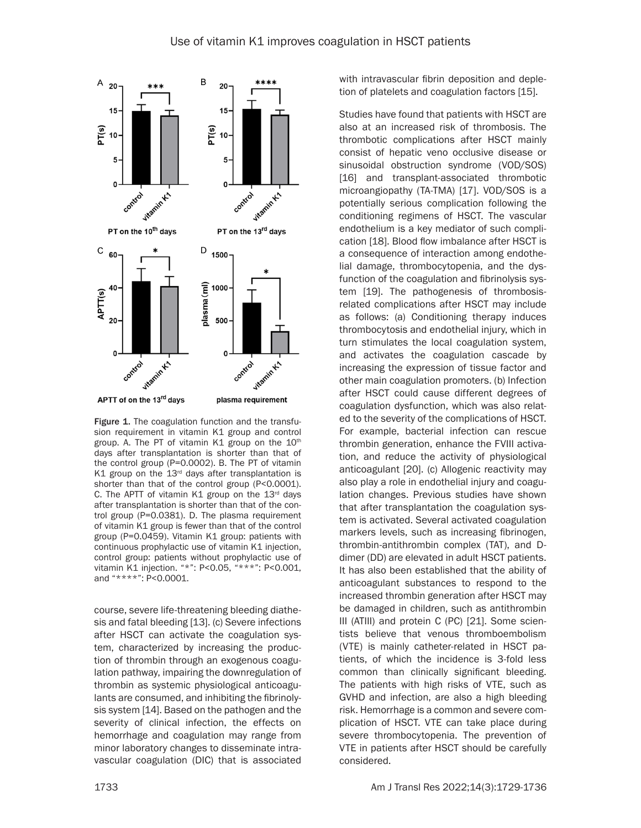

Figure 1. The coagulation function and the transfusion requirement in vitamin K1 group and control group. A. The PT of vitamin K1 group on the  $10<sup>th</sup>$ days after transplantation is shorter than that of the control group (P=0.0002). B. The PT of vitamin K1 group on the  $13<sup>rd</sup>$  days after transplantation is shorter than that of the control group (P<0.0001). C. The APTT of vitamin K1 group on the  $13<sup>rd</sup>$  days after transplantation is shorter than that of the control group (P=0.0381). D. The plasma requirement of vitamin K1 group is fewer than that of the control group (P=0.0459). Vitamin K1 group: patients with continuous prophylactic use of vitamin K1 injection, control group: patients without prophylactic use of vitamin K1 injection. "\*": P<0.05, "\*\*\*": P<0.001, and "\*\*\*\*": P<0.0001.

course, severe life-threatening bleeding diathesis and fatal bleeding [13]. (c) Severe infections after HSCT can activate the coagulation system, characterized by increasing the production of thrombin through an exogenous coagulation pathway, impairing the downregulation of thrombin as systemic physiological anticoagulants are consumed, and inhibiting the fibrinolysis system [14]. Based on the pathogen and the severity of clinical infection, the effects on hemorrhage and coagulation may range from minor laboratory changes to disseminate intravascular coagulation (DIC) that is associated with intravascular fibrin deposition and depletion of platelets and coagulation factors [15].

Studies have found that patients with HSCT are also at an increased risk of thrombosis. The thrombotic complications after HSCT mainly consist of hepatic veno occlusive disease or sinusoidal obstruction syndrome (VOD/SOS) [16] and transplant-associated thrombotic microangiopathy (TA-TMA) [17]. VOD/SOS is a potentially serious complication following the conditioning regimens of HSCT. The vascular endothelium is a key mediator of such complication [18]. Blood flow imbalance after HSCT is a consequence of interaction among endothelial damage, thrombocytopenia, and the dysfunction of the coagulation and fibrinolysis system [19]. The pathogenesis of thrombosisrelated complications after HSCT may include as follows: (a) Conditioning therapy induces thrombocytosis and endothelial injury, which in turn stimulates the local coagulation system, and activates the coagulation cascade by increasing the expression of tissue factor and other main coagulation promoters. (b) Infection after HSCT could cause different degrees of coagulation dysfunction, which was also related to the severity of the complications of HSCT. For example, bacterial infection can rescue thrombin generation, enhance the FVIII activation, and reduce the activity of physiological anticoagulant [20]. (c) Allogenic reactivity may also play a role in endothelial injury and coagulation changes. Previous studies have shown that after transplantation the coagulation system is activated. Several activated coagulation markers levels, such as increasing fibrinogen, thrombin-antithrombin complex (TAT), and Ddimer (DD) are elevated in adult HSCT patients. It has also been established that the ability of anticoagulant substances to respond to the increased thrombin generation after HSCT may be damaged in children, such as antithrombin III (ATIII) and protein C (PC) [21]. Some scientists believe that venous thromboembolism (VTE) is mainly catheter-related in HSCT patients, of which the incidence is 3-fold less common than clinically significant bleeding. The patients with high risks of VTE, such as GVHD and infection, are also a high bleeding risk. Hemorrhage is a common and severe complication of HSCT. VTE can take place during severe thrombocytopenia. The prevention of VTE in patients after HSCT should be carefully considered.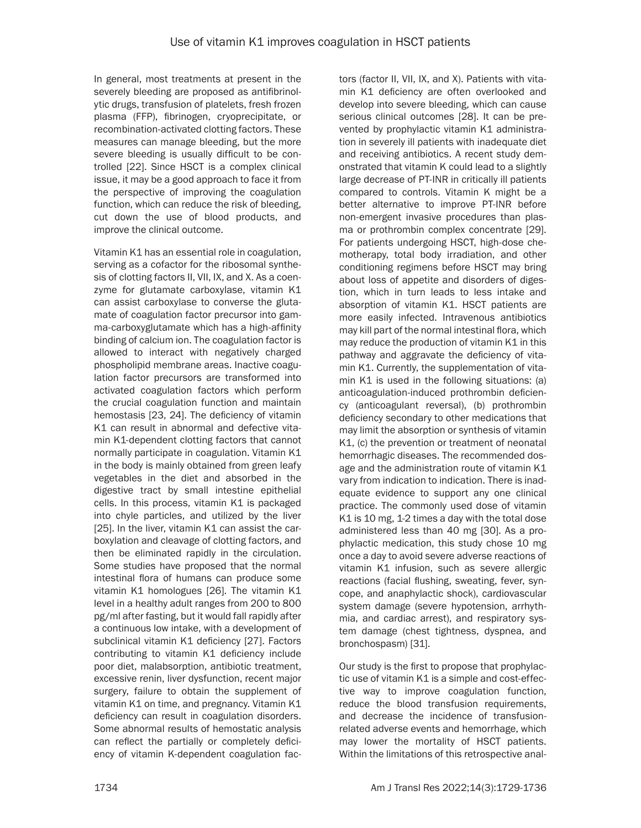In general, most treatments at present in the severely bleeding are proposed as antifibrinolytic drugs, transfusion of platelets, fresh frozen plasma (FFP), fibrinogen, cryoprecipitate, or recombination-activated clotting factors. These measures can manage bleeding, but the more severe bleeding is usually difficult to be controlled [22]. Since HSCT is a complex clinical issue, it may be a good approach to face it from the perspective of improving the coagulation function, which can reduce the risk of bleeding, cut down the use of blood products, and improve the clinical outcome.

Vitamin K1 has an essential role in coagulation, serving as a cofactor for the ribosomal synthesis of clotting factors II, VII, IX, and X. As a coenzyme for glutamate carboxylase, vitamin K1 can assist carboxylase to converse the glutamate of coagulation factor precursor into gamma-carboxyglutamate which has a high-affinity binding of calcium ion. The coagulation factor is allowed to interact with negatively charged phospholipid membrane areas. Inactive coagulation factor precursors are transformed into activated coagulation factors which perform the crucial coagulation function and maintain hemostasis [23, 24]. The deficiency of vitamin K1 can result in abnormal and defective vitamin K1-dependent clotting factors that cannot normally participate in coagulation. Vitamin K1 in the body is mainly obtained from green leafy vegetables in the diet and absorbed in the digestive tract by small intestine epithelial cells. In this process, vitamin K1 is packaged into chyle particles, and utilized by the liver [25]. In the liver, vitamin K1 can assist the carboxylation and cleavage of clotting factors, and then be eliminated rapidly in the circulation. Some studies have proposed that the normal intestinal flora of humans can produce some vitamin K1 homologues [26]. The vitamin K1 level in a healthy adult ranges from 200 to 800 pg/ml after fasting, but it would fall rapidly after a continuous low intake, with a development of subclinical vitamin K1 deficiency [27]. Factors contributing to vitamin K1 deficiency include poor diet, malabsorption, antibiotic treatment, excessive renin, liver dysfunction, recent major surgery, failure to obtain the supplement of vitamin K1 on time, and pregnancy. Vitamin K1 deficiency can result in coagulation disorders. Some abnormal results of hemostatic analysis can reflect the partially or completely deficiency of vitamin K-dependent coagulation factors (factor II, VII, IX, and X). Patients with vitamin K1 deficiency are often overlooked and develop into severe bleeding, which can cause serious clinical outcomes [28]. It can be prevented by prophylactic vitamin K1 administration in severely ill patients with inadequate diet and receiving antibiotics. A recent study demonstrated that vitamin K could lead to a slightly large decrease of PT-INR in critically ill patients compared to controls. Vitamin K might be a better alternative to improve PT-INR before non-emergent invasive procedures than plasma or prothrombin complex concentrate [29]. For patients undergoing HSCT, high-dose chemotherapy, total body irradiation, and other conditioning regimens before HSCT may bring about loss of appetite and disorders of digestion, which in turn leads to less intake and absorption of vitamin K1. HSCT patients are more easily infected. Intravenous antibiotics may kill part of the normal intestinal flora, which may reduce the production of vitamin K1 in this pathway and aggravate the deficiency of vitamin K1. Currently, the supplementation of vitamin K1 is used in the following situations: (a) anticoagulation-induced prothrombin deficiency (anticoagulant reversal), (b) prothrombin deficiency secondary to other medications that may limit the absorption or synthesis of vitamin K1, (c) the prevention or treatment of neonatal hemorrhagic diseases. The recommended dosage and the administration route of vitamin K1 vary from indication to indication. There is inadequate evidence to support any one clinical practice. The commonly used dose of vitamin K1 is 10 mg, 1-2 times a day with the total dose administered less than 40 mg [30]. As a prophylactic medication, this study chose 10 mg once a day to avoid severe adverse reactions of vitamin K1 infusion, such as severe allergic reactions (facial flushing, sweating, fever, syncope, and anaphylactic shock), cardiovascular system damage (severe hypotension, arrhythmia, and cardiac arrest), and respiratory system damage (chest tightness, dyspnea, and bronchospasm) [31].

Our study is the first to propose that prophylactic use of vitamin K1 is a simple and cost-effective way to improve coagulation function, reduce the blood transfusion requirements, and decrease the incidence of transfusionrelated adverse events and hemorrhage, which may lower the mortality of HSCT patients. Within the limitations of this retrospective anal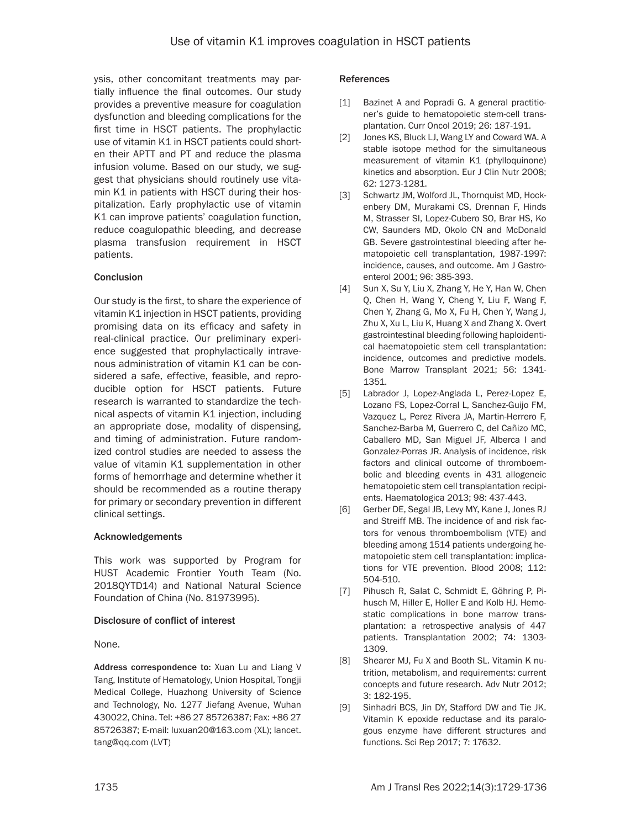ysis, other concomitant treatments may partially influence the final outcomes. Our study provides a preventive measure for coagulation dysfunction and bleeding complications for the first time in HSCT patients. The prophylactic use of vitamin K1 in HSCT patients could shorten their APTT and PT and reduce the plasma infusion volume. Based on our study, we suggest that physicians should routinely use vitamin K1 in patients with HSCT during their hospitalization. Early prophylactic use of vitamin K1 can improve patients' coagulation function, reduce coagulopathic bleeding, and decrease plasma transfusion requirement in HSCT patients.

### Conclusion

Our study is the first, to share the experience of vitamin K1 injection in HSCT patients, providing promising data on its efficacy and safety in real-clinical practice. Our preliminary experience suggested that prophylactically intravenous administration of vitamin K1 can be considered a safe, effective, feasible, and reproducible option for HSCT patients. Future research is warranted to standardize the technical aspects of vitamin K1 injection, including an appropriate dose, modality of dispensing, and timing of administration. Future randomized control studies are needed to assess the value of vitamin K1 supplementation in other forms of hemorrhage and determine whether it should be recommended as a routine therapy for primary or secondary prevention in different clinical settings.

#### Acknowledgements

This work was supported by Program for HUST Academic Frontier Youth Team (No. 2018QYTD14) and National Natural Science Foundation of China (No. 81973995).

#### Disclosure of conflict of interest

None.

Address correspondence to: Xuan Lu and Liang V Tang, Institute of Hematology, Union Hospital, Tongji Medical College, Huazhong University of Science and Technology, No. 1277 Jiefang Avenue, Wuhan 430022, China. Tel: +86 27 85726387; Fax: +86 27 85726387; E-mail: luxuan20@163.com (XL); lancet. tang@qq.com (LVT)

#### References

- [1] Bazinet A and Popradi G. A general practitioner's guide to hematopoietic stem-cell transplantation. Curr Oncol 2019; 26: 187-191.
- [2] Jones KS, Bluck LJ, Wang LY and Coward WA. A stable isotope method for the simultaneous measurement of vitamin K1 (phylloquinone) kinetics and absorption. Eur J Clin Nutr 2008; 62: 1273-1281.
- [3] Schwartz JM, Wolford JL, Thornquist MD, Hockenbery DM, Murakami CS, Drennan F, Hinds M, Strasser SI, Lopez-Cubero SO, Brar HS, Ko CW, Saunders MD, Okolo CN and McDonald GB. Severe gastrointestinal bleeding after hematopoietic cell transplantation, 1987-1997: incidence, causes, and outcome. Am J Gastroenterol 2001; 96: 385-393.
- [4] Sun X, Su Y, Liu X, Zhang Y, He Y, Han W, Chen Q, Chen H, Wang Y, Cheng Y, Liu F, Wang F, Chen Y, Zhang G, Mo X, Fu H, Chen Y, Wang J, Zhu X, Xu L, Liu K, Huang X and Zhang X. Overt gastrointestinal bleeding following haploidentical haematopoietic stem cell transplantation: incidence, outcomes and predictive models. Bone Marrow Transplant 2021; 56: 1341- 1351.
- [5] Labrador J, Lopez-Anglada L, Perez-Lopez E, Lozano FS, Lopez-Corral L, Sanchez-Guijo FM, Vazquez L, Perez Rivera JA, Martin-Herrero F, Sanchez-Barba M, Guerrero C, del Cañizo MC, Caballero MD, San Miguel JF, Alberca I and Gonzalez-Porras JR. Analysis of incidence, risk factors and clinical outcome of thromboembolic and bleeding events in 431 allogeneic hematopoietic stem cell transplantation recipients. Haematologica 2013; 98: 437-443.
- [6] Gerber DE, Segal JB, Levy MY, Kane J, Jones RJ and Streiff MB. The incidence of and risk factors for venous thromboembolism (VTE) and bleeding among 1514 patients undergoing hematopoietic stem cell transplantation: implications for VTE prevention. Blood 2008; 112: 504-510.
- [7] Pihusch R, Salat C, Schmidt E, Göhring P, Pihusch M, Hiller E, Holler E and Kolb HJ. Hemostatic complications in bone marrow transplantation: a retrospective analysis of 447 patients. Transplantation 2002; 74: 1303- 1309.
- [8] Shearer MJ, Fu X and Booth SL. Vitamin K nutrition, metabolism, and requirements: current concepts and future research. Adv Nutr 2012; 3: 182-195.
- [9] Sinhadri BCS, Jin DY, Stafford DW and Tie JK. Vitamin K epoxide reductase and its paralogous enzyme have different structures and functions. Sci Rep 2017; 7: 17632.